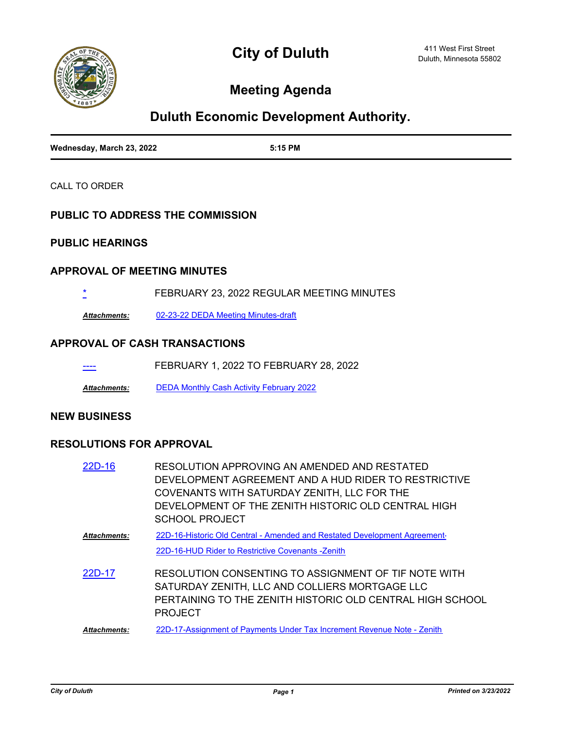

# **Meeting Agenda**

# **Duluth Economic Development Authority.**

| Wednesday, March 23, 2022 | 5:15 PM |
|---------------------------|---------|

CALL TO ORDER

#### **PUBLIC TO ADDRESS THE COMMISSION**

## **PUBLIC HEARINGS**

#### **APPROVAL OF MEETING MINUTES**

[\\*](http://duluth-mn.legistar.com/gateway.aspx?m=l&id=/matter.aspx?key=8011) FEBRUARY 23, 2022 REGULAR MEETING MINUTES

*Attachments:* [02-23-22 DEDA Meeting Minutes-draft](http://duluth-mn.legistar.com/gateway.aspx?M=F&ID=49f9e9fa-bce5-4d27-a79b-01864f4049d4.pdf)

#### **APPROVAL OF CASH TRANSACTIONS**

| ---- | FEBRUARY 1, 2022 TO FEBRUARY 28, 2022 |  |  |
|------|---------------------------------------|--|--|
|      |                                       |  |  |

*Attachments:* [DEDA Monthly Cash Activity February 2022](http://duluth-mn.legistar.com/gateway.aspx?M=F&ID=ff4abf7a-d89b-412c-90f5-8b183161b7e9.pdf)

#### **NEW BUSINESS**

#### **RESOLUTIONS FOR APPROVAL**

| 22D-16       | RESOLUTION APPROVING AN AMENDED AND RESTATED<br>DEVELOPMENT AGREEMENT AND A HUD RIDER TO RESTRICTIVE<br>COVENANTS WITH SATURDAY ZENITH, LLC FOR THE<br>DEVELOPMENT OF THE ZENITH HISTORIC OLD CENTRAL HIGH<br>SCHOOL PROJECT |
|--------------|------------------------------------------------------------------------------------------------------------------------------------------------------------------------------------------------------------------------------|
| Attachments: | 22D-16-Historic Old Central - Amended and Restated Development Agreement-<br>22D-16-HUD Rider to Restrictive Covenants -Zenith                                                                                               |
| 22D-17       | RESOLUTION CONSENTING TO ASSIGNMENT OF TIF NOTE WITH<br>SATURDAY ZENITH, LLC AND COLLIERS MORTGAGE LLC<br>PERTAINING TO THE ZENITH HISTORIC OLD CENTRAL HIGH SCHOOL<br><b>PROJECT</b>                                        |
| Attachments: | 22D-17-Assignment of Payments Under Tax Increment Revenue Note - Zenith                                                                                                                                                      |